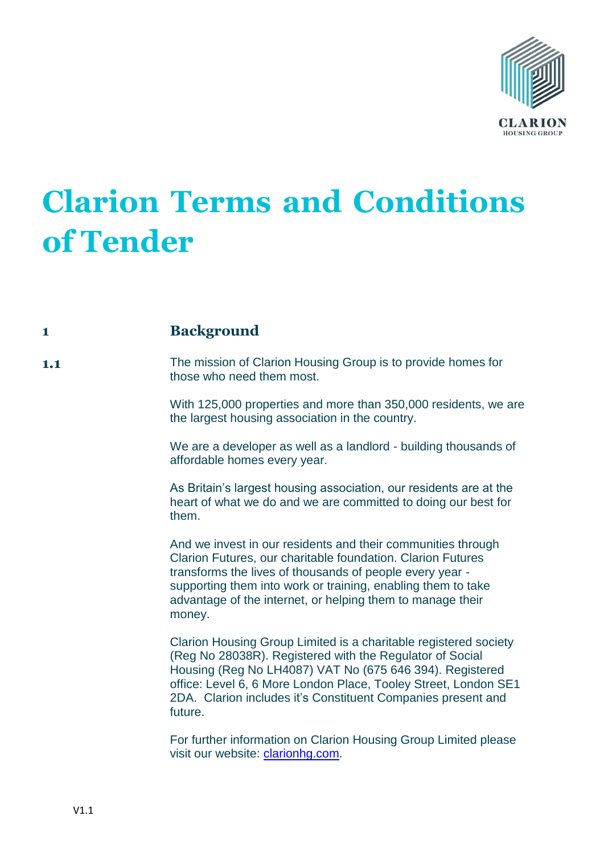

# **Clarion Terms and Conditions of Tender**

# **1 Background**

**1.1** The mission of Clarion Housing Group is to provide homes for those who need them most.

> With 125,000 properties and more than 350,000 residents, we are the largest housing association in the country.

We are a developer as well as a landlord - building thousands of affordable homes every year.

As Britain's largest housing association, our residents are at the heart of what we do and we are committed to doing our best for them.

And we invest in our residents and their communities through Clarion Futures, our charitable foundation. Clarion Futures transforms the lives of thousands of people every year supporting them into work or training, enabling them to take advantage of the internet, or helping them to manage their money.

Clarion Housing Group Limited is a charitable registered society (Reg No 28038R). Registered with the Regulator of Social Housing (Reg No LH4087) VAT No (675 646 394). Registered office: Level 6, 6 More London Place, Tooley Street, London SE1 2DA. Clarion includes it's Constituent Companies present and future.

For further information on Clarion Housing Group Limited please visit our website: [clarionhg.com.](file://///williamsutton/transition/Governance/LEGAL%20SERVICES/PROCUREMENT/Forms%20and%20Templates/ITT%20templates/Terms%20and%20Conditions%20of%20Tender)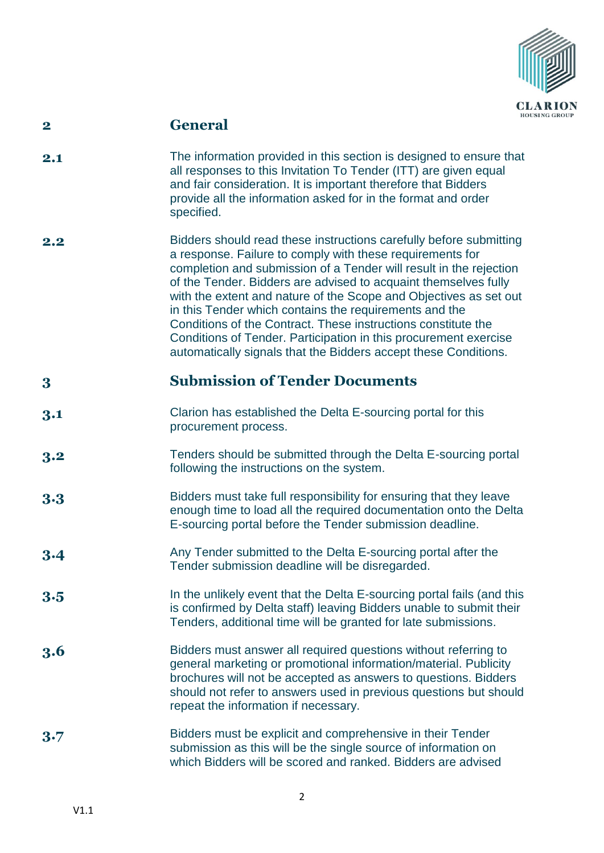

# **2 General**

- **2.1** The information provided in this section is designed to ensure that all responses to this Invitation To Tender (ITT) are given equal and fair consideration. It is important therefore that Bidders provide all the information asked for in the format and order specified.
- **2.2** Bidders should read these instructions carefully before submitting a response. Failure to comply with these requirements for completion and submission of a Tender will result in the rejection of the Tender. Bidders are advised to acquaint themselves fully with the extent and nature of the Scope and Objectives as set out in this Tender which contains the requirements and the Conditions of the Contract. These instructions constitute the Conditions of Tender. Participation in this procurement exercise automatically signals that the Bidders accept these Conditions.

# **3 Submission of Tender Documents**

- **3.1** Clarion has established the Delta E-sourcing portal for this procurement process.
- **3.2** Tenders should be submitted through the Delta E-sourcing portal following the instructions on the system.
- **3.3** Bidders must take full responsibility for ensuring that they leave enough time to load all the required documentation onto the Delta E-sourcing portal before the Tender submission deadline.
- **3.4** Any Tender submitted to the Delta E-sourcing portal after the Tender submission deadline will be disregarded.
- **3.5** In the unlikely event that the Delta E-sourcing portal fails (and this is confirmed by Delta staff) leaving Bidders unable to submit their Tenders, additional time will be granted for late submissions.
- **3.6** Bidders must answer all required questions without referring to general marketing or promotional information/material. Publicity brochures will not be accepted as answers to questions. Bidders should not refer to answers used in previous questions but should repeat the information if necessary.
- **3.7** Bidders must be explicit and comprehensive in their Tender submission as this will be the single source of information on which Bidders will be scored and ranked. Bidders are advised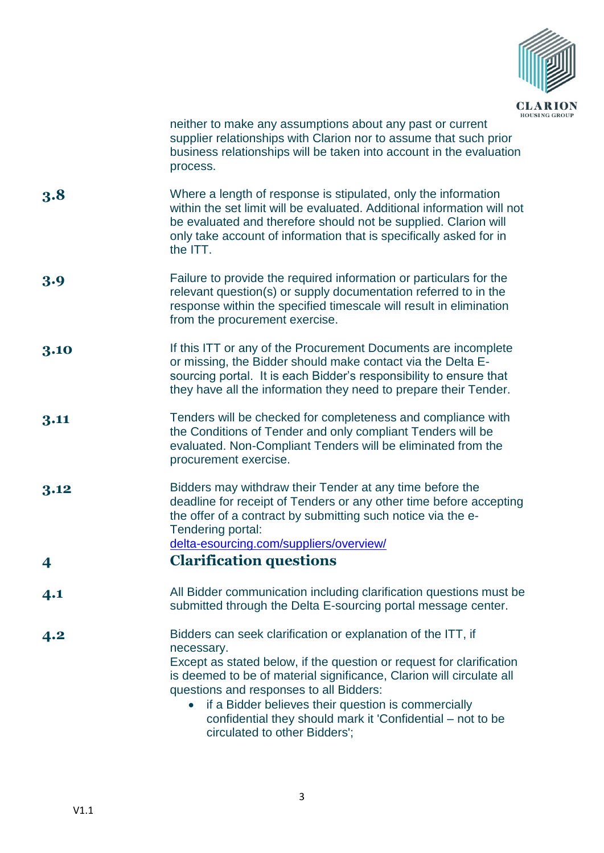

neither to make any assumptions about any past or current supplier relationships with Clarion nor to assume that such prior business relationships will be taken into account in the evaluation process.

- **3.8** Where a length of response is stipulated, only the information within the set limit will be evaluated. Additional information will not be evaluated and therefore should not be supplied. Clarion will only take account of information that is specifically asked for in the ITT.
- **3.9** Failure to provide the required information or particulars for the relevant question(s) or supply documentation referred to in the response within the specified timescale will result in elimination from the procurement exercise.
- **3.10** If this ITT or any of the Procurement Documents are incomplete or missing, the Bidder should make contact via the Delta Esourcing portal. It is each Bidder's responsibility to ensure that they have all the information they need to prepare their Tender.
- **3.11** Tenders will be checked for completeness and compliance with the Conditions of Tender and only compliant Tenders will be evaluated. Non-Compliant Tenders will be eliminated from the procurement exercise.
- **3.12** [Bidders may withdraw their Tender at any time before](https://www.delta-esourcing.com/suppliers/overview/) the [deadline for receipt of Tenders or any other time before](https://www.delta-esourcing.com/suppliers/overview/) accepting [the offer of a contract by submitting such notice via the e-](https://www.delta-esourcing.com/suppliers/overview/)[Tendering portal:](https://www.delta-esourcing.com/suppliers/overview/)  [delta-esourcing.com/suppliers/overview/](https://www.delta-esourcing.com/suppliers/overview/)

#### **4 Clarification questions**

- **4.1** All Bidder communication including clarification questions must be submitted through the Delta E-sourcing portal message center.
- **4.2** Bidders can seek clarification or explanation of the ITT, if necessary. Except as stated below, if the question or request for clarification is deemed to be of material significance, Clarion will circulate all questions and responses to all Bidders:
	- if a Bidder believes their question is commercially confidential they should mark it 'Confidential – not to be circulated to other Bidders';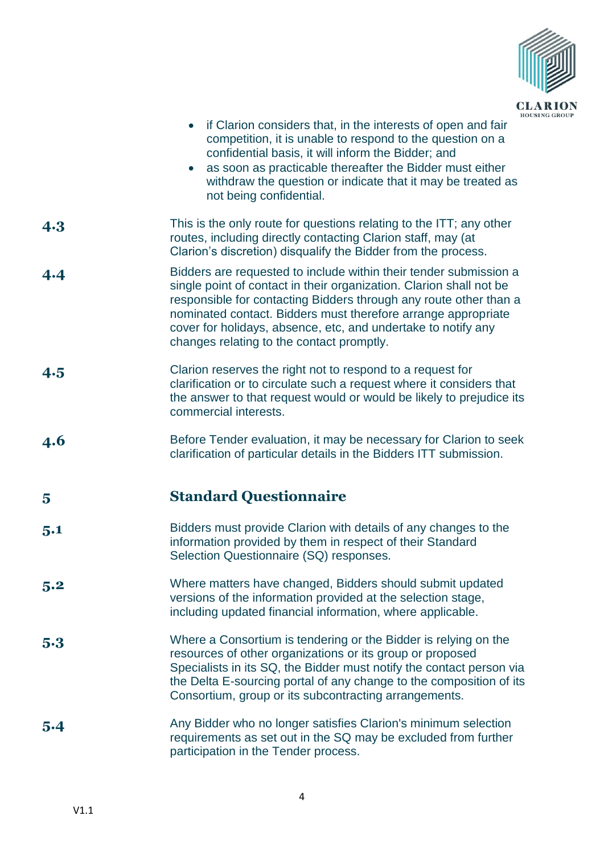

|            | u<br>HO<br>if Clarion considers that, in the interests of open and fair<br>competition, it is unable to respond to the question on a<br>confidential basis, it will inform the Bidder; and<br>as soon as practicable thereafter the Bidder must either<br>withdraw the question or indicate that it may be treated as<br>not being confidential.                                             |
|------------|----------------------------------------------------------------------------------------------------------------------------------------------------------------------------------------------------------------------------------------------------------------------------------------------------------------------------------------------------------------------------------------------|
| 4.3        | This is the only route for questions relating to the ITT; any other<br>routes, including directly contacting Clarion staff, may (at<br>Clarion's discretion) disqualify the Bidder from the process.                                                                                                                                                                                         |
| 4.4        | Bidders are requested to include within their tender submission a<br>single point of contact in their organization. Clarion shall not be<br>responsible for contacting Bidders through any route other than a<br>nominated contact. Bidders must therefore arrange appropriate<br>cover for holidays, absence, etc, and undertake to notify any<br>changes relating to the contact promptly. |
| 4.5        | Clarion reserves the right not to respond to a request for<br>clarification or to circulate such a request where it considers that<br>the answer to that request would or would be likely to prejudice its<br>commercial interests.                                                                                                                                                          |
| <b>4.6</b> | Before Tender evaluation, it may be necessary for Clarion to seek<br>clarification of particular details in the Bidders ITT submission.                                                                                                                                                                                                                                                      |
| 5          | <b>Standard Questionnaire</b>                                                                                                                                                                                                                                                                                                                                                                |
| 5.1        | Bidders must provide Clarion with details of any changes to the<br>information provided by them in respect of their Standard<br>Selection Questionnaire (SQ) responses.                                                                                                                                                                                                                      |
| 5.2        | Where matters have changed, Bidders should submit updated<br>versions of the information provided at the selection stage,<br>including updated financial information, where applicable.                                                                                                                                                                                                      |
| 5.3        | Where a Consortium is tendering or the Bidder is relying on the<br>resources of other organizations or its group or proposed<br>Specialists in its SQ, the Bidder must notify the contact person via<br>the Delta E-sourcing portal of any change to the composition of its<br>Consortium, group or its subcontracting arrangements.                                                         |
| 5.4        | Any Bidder who no longer satisfies Clarion's minimum selection<br>requirements as set out in the SQ may be excluded from further<br>participation in the Tender process.                                                                                                                                                                                                                     |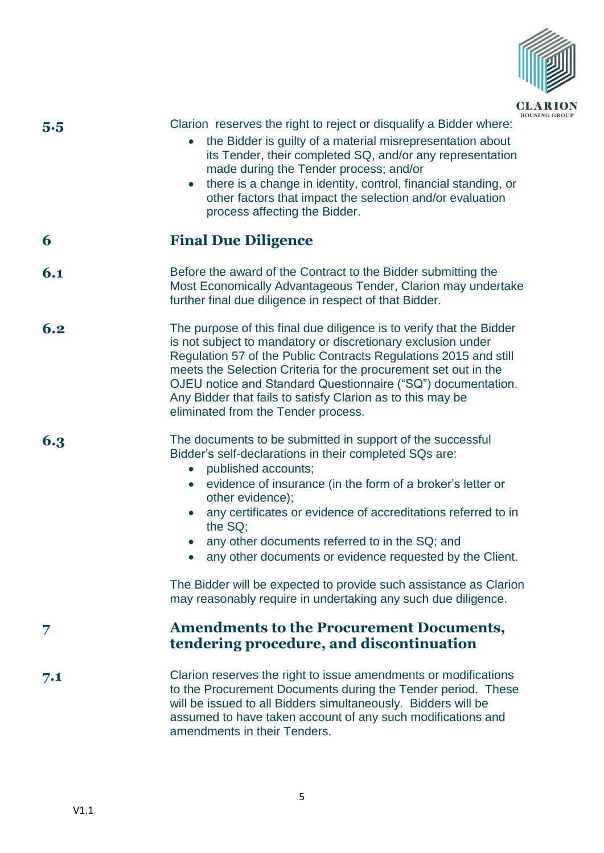

| 5.5 | HOL<br>Clarion reserves the right to reject or disqualify a Bidder where:<br>the Bidder is guilty of a material misrepresentation about<br>its Tender, their completed SQ, and/or any representation<br>made during the Tender process; and/or<br>there is a change in identity, control, financial standing, or<br>other factors that impact the selection and/or evaluation<br>process affecting the Bidder.                                                                                                                                                             |
|-----|----------------------------------------------------------------------------------------------------------------------------------------------------------------------------------------------------------------------------------------------------------------------------------------------------------------------------------------------------------------------------------------------------------------------------------------------------------------------------------------------------------------------------------------------------------------------------|
| 6   | <b>Final Due Diligence</b>                                                                                                                                                                                                                                                                                                                                                                                                                                                                                                                                                 |
| 6.1 | Before the award of the Contract to the Bidder submitting the<br>Most Economically Advantageous Tender, Clarion may undertake<br>further final due diligence in respect of that Bidder.                                                                                                                                                                                                                                                                                                                                                                                    |
| 6.2 | The purpose of this final due diligence is to verify that the Bidder<br>is not subject to mandatory or discretionary exclusion under<br>Regulation 57 of the Public Contracts Regulations 2015 and still<br>meets the Selection Criteria for the procurement set out in the<br>OJEU notice and Standard Questionnaire ("SQ") documentation.<br>Any Bidder that fails to satisfy Clarion as to this may be<br>eliminated from the Tender process.                                                                                                                           |
| 6.3 | The documents to be submitted in support of the successful<br>Bidder's self-declarations in their completed SQs are:<br>published accounts;<br>$\bullet$<br>evidence of insurance (in the form of a broker's letter or<br>other evidence);<br>any certificates or evidence of accreditations referred to in<br>the SQ;<br>any other documents referred to in the SQ; and<br>any other documents or evidence requested by the Client.<br>The Bidder will be expected to provide such assistance as Clarion<br>may reasonably require in undertaking any such due diligence. |
| 7   | <b>Amendments to the Procurement Documents,</b><br>tendering procedure, and discontinuation                                                                                                                                                                                                                                                                                                                                                                                                                                                                                |
| 7.1 | Clarion reserves the right to issue amendments or modifications<br>to the Procurement Documents during the Tender period. These<br>will be issued to all Bidders simultaneously. Bidders will be<br>assumed to have taken account of any such modifications and<br>amendments in their Tenders.                                                                                                                                                                                                                                                                            |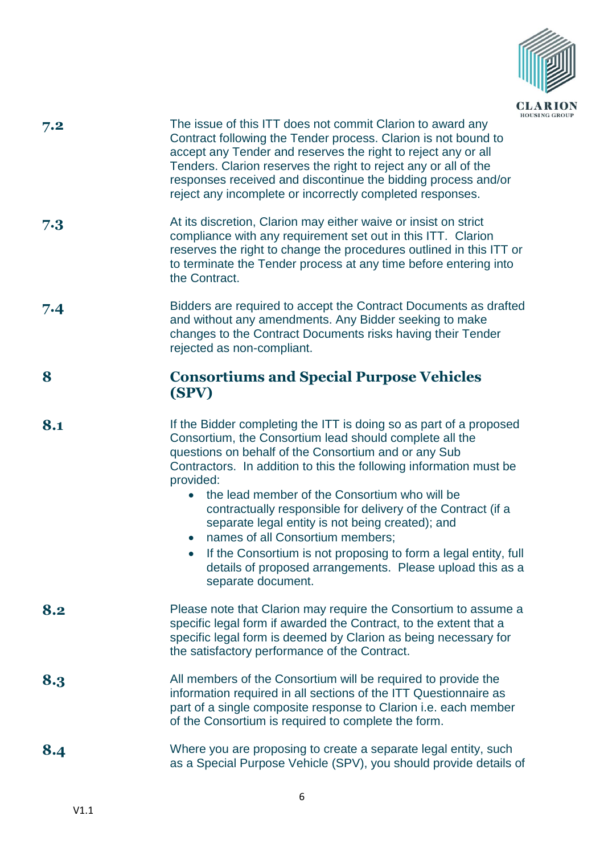

- **7.2** The issue of this ITT does not commit Clarion to award any Contract following the Tender process. Clarion is not bound to accept any Tender and reserves the right to reject any or all Tenders. Clarion reserves the right to reject any or all of the responses received and discontinue the bidding process and/or reject any incomplete or incorrectly completed responses.
- **7.3** At its discretion, Clarion may either waive or insist on strict compliance with any requirement set out in this ITT. Clarion reserves the right to change the procedures outlined in this ITT or to terminate the Tender process at any time before entering into the Contract.
- **7.4** Bidders are required to accept the Contract Documents as drafted and without any amendments. Any Bidder seeking to make changes to the Contract Documents risks having their Tender rejected as non-compliant.

#### **8 Consortiums and Special Purpose Vehicles (SPV)**

- **8.1** If the Bidder completing the ITT is doing so as part of a proposed Consortium, the Consortium lead should complete all the questions on behalf of the Consortium and or any Sub Contractors. In addition to this the following information must be provided:
	- the lead member of the Consortium who will be contractually responsible for delivery of the Contract (if a separate legal entity is not being created); and
	- names of all Consortium members:
	- If the Consortium is not proposing to form a legal entity, full details of proposed arrangements. Please upload this as a separate document.
- **8.2** Please note that Clarion may require the Consortium to assume a specific legal form if awarded the Contract, to the extent that a specific legal form is deemed by Clarion as being necessary for the satisfactory performance of the Contract.
- **8.3** All members of the Consortium will be required to provide the information required in all sections of the ITT Questionnaire as part of a single composite response to Clarion i.e. each member of the Consortium is required to complete the form.
- 8.4 Where you are proposing to create a separate legal entity, such as a Special Purpose Vehicle (SPV), you should provide details of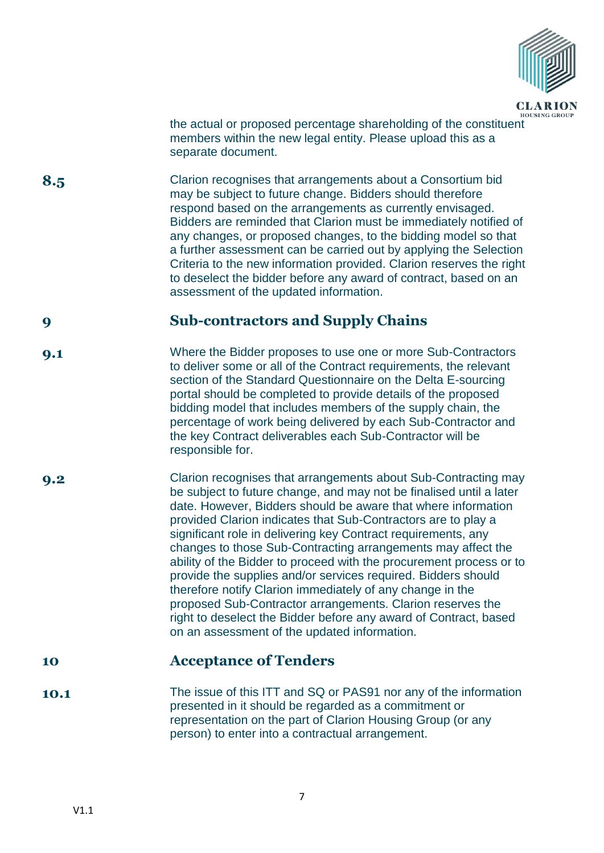

HOUSING GROUP the actual or proposed percentage shareholding of the constituent members within the new legal entity. Please upload this as a separate document.

**8.5** Clarion recognises that arrangements about a Consortium bid may be subject to future change. Bidders should therefore respond based on the arrangements as currently envisaged. Bidders are reminded that Clarion must be immediately notified of any changes, or proposed changes, to the bidding model so that a further assessment can be carried out by applying the Selection Criteria to the new information provided. Clarion reserves the right to deselect the bidder before any award of contract, based on an assessment of the updated information.

#### **9 Sub-contractors and Supply Chains**

- **9.1** Where the Bidder proposes to use one or more Sub-Contractors to deliver some or all of the Contract requirements, the relevant section of the Standard Questionnaire on the Delta E-sourcing portal should be completed to provide details of the proposed bidding model that includes members of the supply chain, the percentage of work being delivered by each Sub-Contractor and the key Contract deliverables each Sub-Contractor will be responsible for.
- **9.2** Clarion recognises that arrangements about Sub-Contracting may be subject to future change, and may not be finalised until a later date. However, Bidders should be aware that where information provided Clarion indicates that Sub-Contractors are to play a significant role in delivering key Contract requirements, any changes to those Sub-Contracting arrangements may affect the ability of the Bidder to proceed with the procurement process or to provide the supplies and/or services required. Bidders should therefore notify Clarion immediately of any change in the proposed Sub-Contractor arrangements. Clarion reserves the right to deselect the Bidder before any award of Contract, based on an assessment of the updated information.

#### **10 Acceptance of Tenders**

**10.1** The issue of this ITT and SQ or PAS91 nor any of the information presented in it should be regarded as a commitment or representation on the part of Clarion Housing Group (or any person) to enter into a contractual arrangement.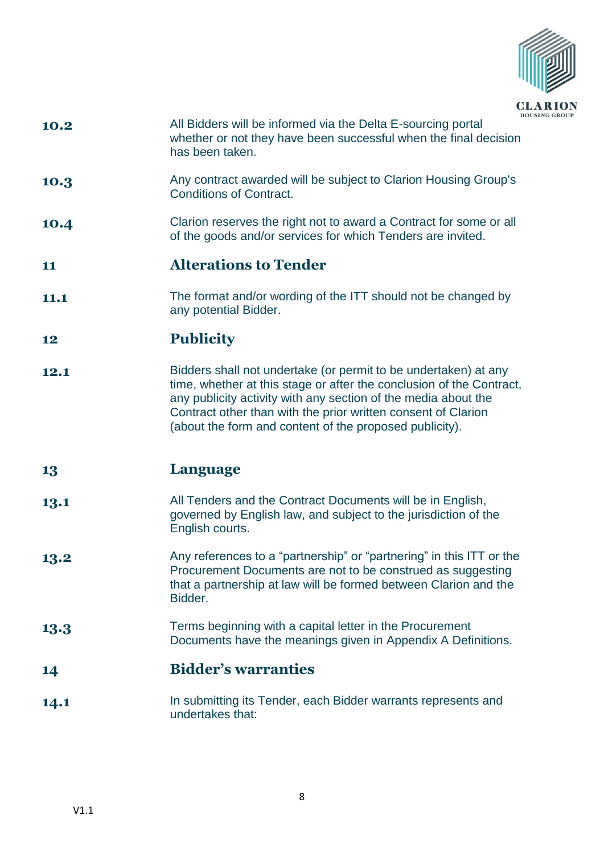

- **10.2** All Bidders will be informed via the Delta E-sourcing portal whether or not they have been successful when the final decision has been taken.
- **10.3** Any contract awarded will be subject to Clarion Housing Group's Conditions of Contract.
- **10.4** Clarion reserves the right not to award a Contract for some or all of the goods and/or services for which Tenders are invited.

### **11 Alterations to Tender**

**11.1** The format and/or wording of the ITT should not be changed by any potential Bidder.

# **12 Publicity**

**12.1** Bidders shall not undertake (or permit to be undertaken) at any time, whether at this stage or after the conclusion of the Contract, any publicity activity with any section of the media about the Contract other than with the prior written consent of Clarion (about the form and content of the proposed publicity).

#### **13 Language**

- **13.1** All Tenders and the Contract Documents will be in English, governed by English law, and subject to the jurisdiction of the English courts.
- **13.2** Any references to a "partnership" or "partnering" in this ITT or the Procurement Documents are not to be construed as suggesting that a partnership at law will be formed between Clarion and the Bidder.
- **13.3** Terms beginning with a capital letter in the Procurement Documents have the meanings given in Appendix A Definitions.

#### **14 Bidder's warranties**

**14.1** In submitting its Tender, each Bidder warrants represents and undertakes that: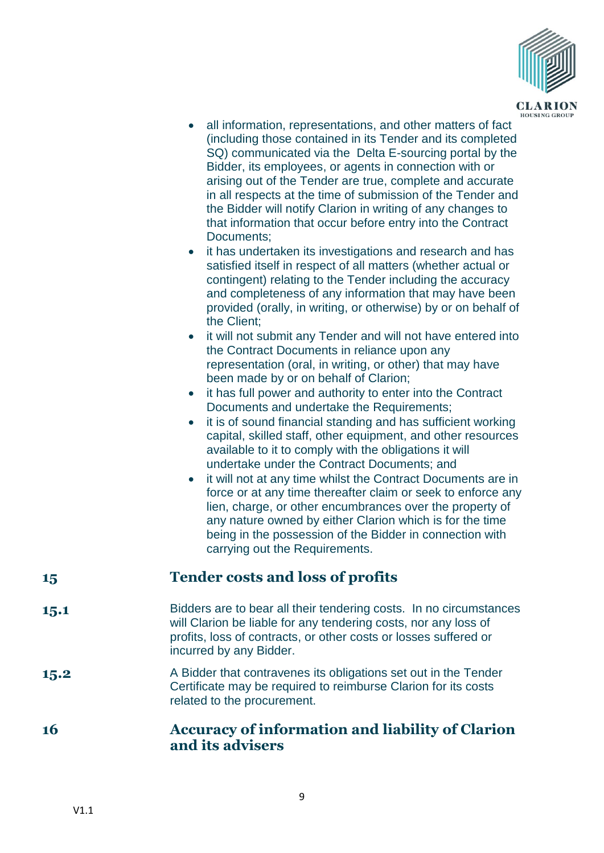

- all information, representations, and other matters of fact (including those contained in its Tender and its completed SQ) communicated via the Delta E-sourcing portal by the Bidder, its employees, or agents in connection with or arising out of the Tender are true, complete and accurate in all respects at the time of submission of the Tender and the Bidder will notify Clarion in writing of any changes to that information that occur before entry into the Contract Documents;
- it has undertaken its investigations and research and has satisfied itself in respect of all matters (whether actual or contingent) relating to the Tender including the accuracy and completeness of any information that may have been provided (orally, in writing, or otherwise) by or on behalf of the Client;
- it will not submit any Tender and will not have entered into the Contract Documents in reliance upon any representation (oral, in writing, or other) that may have been made by or on behalf of Clarion;
- it has full power and authority to enter into the Contract Documents and undertake the Requirements:
- it is of sound financial standing and has sufficient working capital, skilled staff, other equipment, and other resources available to it to comply with the obligations it will undertake under the Contract Documents; and
- it will not at any time whilst the Contract Documents are in force or at any time thereafter claim or seek to enforce any lien, charge, or other encumbrances over the property of any nature owned by either Clarion which is for the time being in the possession of the Bidder in connection with carrying out the Requirements.

# **15 Tender costs and loss of profits**

- **15.1** Bidders are to bear all their tendering costs. In no circumstances will Clarion be liable for any tendering costs, nor any loss of profits, loss of contracts, or other costs or losses suffered or incurred by any Bidder.
- **15.2** A Bidder that contravenes its obligations set out in the Tender Certificate may be required to reimburse Clarion for its costs related to the procurement.
- **16 Accuracy of information and liability of Clarion and its advisers**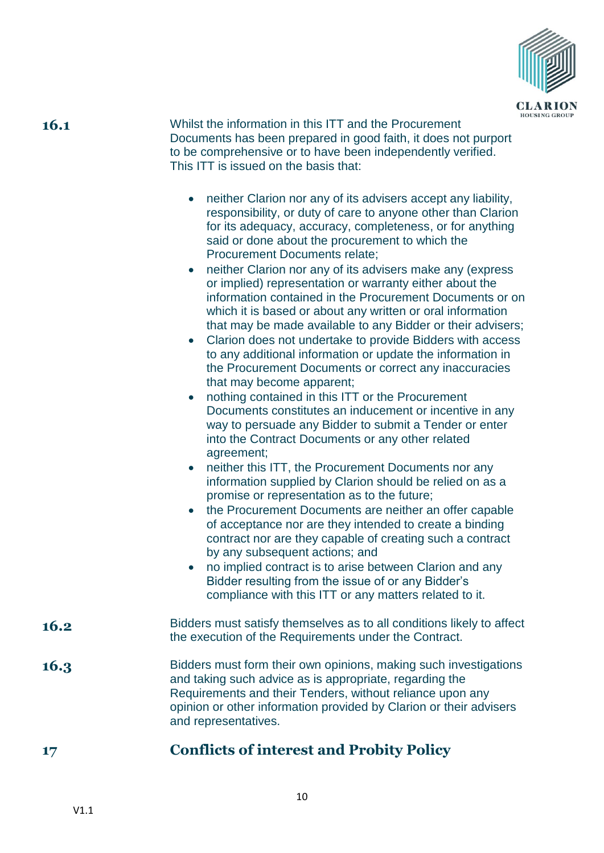

**16.1** Whilst the information in this ITT and the Procurement Documents has been prepared in good faith, it does not purport to be comprehensive or to have been independently verified. This ITT is issued on the basis that:

- neither Clarion nor any of its advisers accept any liability, responsibility, or duty of care to anyone other than Clarion for its adequacy, accuracy, completeness, or for anything said or done about the procurement to which the Procurement Documents relate;
- neither Clarion nor any of its advisers make any (express or implied) representation or warranty either about the information contained in the Procurement Documents or on which it is based or about any written or oral information that may be made available to any Bidder or their advisers;
- Clarion does not undertake to provide Bidders with access to any additional information or update the information in the Procurement Documents or correct any inaccuracies that may become apparent;
- nothing contained in this ITT or the Procurement Documents constitutes an inducement or incentive in any way to persuade any Bidder to submit a Tender or enter into the Contract Documents or any other related agreement;
- neither this ITT, the Procurement Documents nor any information supplied by Clarion should be relied on as a promise or representation as to the future;
- the Procurement Documents are neither an offer capable of acceptance nor are they intended to create a binding contract nor are they capable of creating such a contract by any subsequent actions; and
- no implied contract is to arise between Clarion and any Bidder resulting from the issue of or any Bidder's compliance with this ITT or any matters related to it.
- **16.2** Bidders must satisfy themselves as to all conditions likely to affect the execution of the Requirements under the Contract.
- **16.3** Bidders must form their own opinions, making such investigations and taking such advice as is appropriate, regarding the Requirements and their Tenders, without reliance upon any opinion or other information provided by Clarion or their advisers and representatives.

# **17 Conflicts of interest and Probity Policy**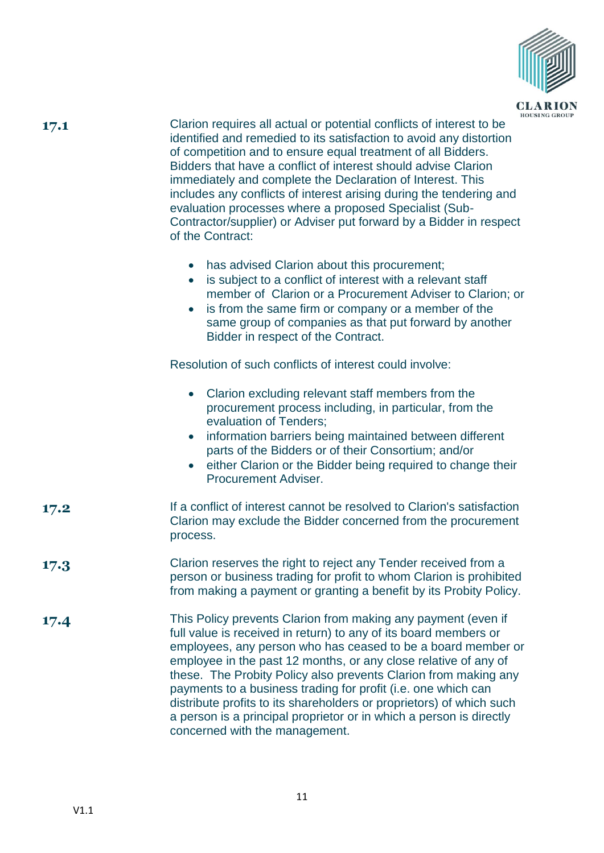

| . . | ۰. |
|-----|----|
|     |    |

**17.1** Clarion requires all actual or potential conflicts of interest to be identified and remedied to its satisfaction to avoid any distortion of competition and to ensure equal treatment of all Bidders. Bidders that have a conflict of interest should advise Clarion immediately and complete the Declaration of Interest. This includes any conflicts of interest arising during the tendering and evaluation processes where a proposed Specialist (Sub-Contractor/supplier) or Adviser put forward by a Bidder in respect of the Contract:

- has advised Clarion about this procurement;
- is subject to a conflict of interest with a relevant staff member of Clarion or a Procurement Adviser to Clarion; or
- is from the same firm or company or a member of the same group of companies as that put forward by another Bidder in respect of the Contract.

Resolution of such conflicts of interest could involve:

| • Clarion excluding relevant staff members from the    |
|--------------------------------------------------------|
| procurement process including, in particular, from the |
| evaluation of Tenders;                                 |

- information barriers being maintained between different parts of the Bidders or of their Consortium; and/or
- **•** either Clarion or the Bidder being required to change their Procurement Adviser.
- **17.2** If a conflict of interest cannot be resolved to Clarion's satisfaction Clarion may exclude the Bidder concerned from the procurement process.
- **17.3** Clarion reserves the right to reject any Tender received from a person or business trading for profit to whom Clarion is prohibited from making a payment or granting a benefit by its Probity Policy.
- **17.4** This Policy prevents Clarion from making any payment (even if full value is received in return) to any of its board members or employees, any person who has ceased to be a board member or employee in the past 12 months, or any close relative of any of these. The Probity Policy also prevents Clarion from making any payments to a business trading for profit (i.e. one which can distribute profits to its shareholders or proprietors) of which such a person is a principal proprietor or in which a person is directly concerned with the management.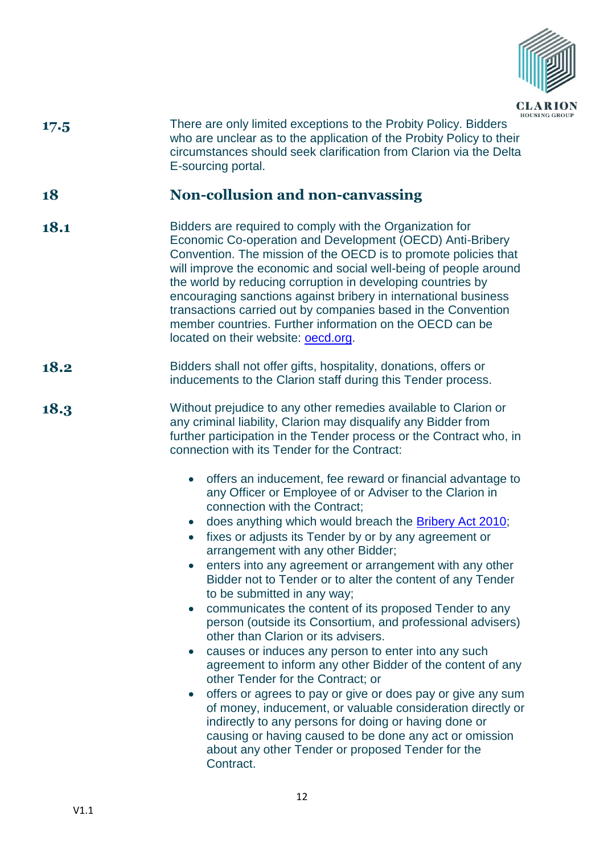

| 17.5 | There are only limited exceptions to the Probity Policy. Bidders<br>who are unclear as to the application of the Probity Policy to their<br>circumstances should seek clarification from Clarion via the Delta<br>E-sourcing portal.                                                                                                                                                                                                                                                                                                                                                                                                           |
|------|------------------------------------------------------------------------------------------------------------------------------------------------------------------------------------------------------------------------------------------------------------------------------------------------------------------------------------------------------------------------------------------------------------------------------------------------------------------------------------------------------------------------------------------------------------------------------------------------------------------------------------------------|
| 18   | Non-collusion and non-canvassing                                                                                                                                                                                                                                                                                                                                                                                                                                                                                                                                                                                                               |
| 18.1 | Bidders are required to comply with the Organization for<br>Economic Co-operation and Development (OECD) Anti-Bribery<br>Convention. The mission of the OECD is to promote policies that<br>will improve the economic and social well-being of people around<br>the world by reducing corruption in developing countries by<br>encouraging sanctions against bribery in international business<br>transactions carried out by companies based in the Convention<br>member countries. Further information on the OECD can be<br>located on their website: <b>oecd.org</b> .                                                                     |
| 18.2 | Bidders shall not offer gifts, hospitality, donations, offers or<br>inducements to the Clarion staff during this Tender process.                                                                                                                                                                                                                                                                                                                                                                                                                                                                                                               |
| 18.3 | Without prejudice to any other remedies available to Clarion or<br>any criminal liability, Clarion may disqualify any Bidder from<br>further participation in the Tender process or the Contract who, in<br>connection with its Tender for the Contract:                                                                                                                                                                                                                                                                                                                                                                                       |
|      | offers an inducement, fee reward or financial advantage to<br>$\bullet$<br>any Officer or Employee of or Adviser to the Clarion in<br>connection with the Contract;<br>does anything which would breach the <b>Bribery Act 2010</b> ;<br>fixes or adjusts its Tender by or by any agreement or<br>$\bullet$<br>arrangement with any other Bidder;<br>enters into any agreement or arrangement with any other<br>Bidder not to Tender or to alter the content of any Tender<br>to be submitted in any way;<br>communicates the content of its proposed Tender to any<br>$\bullet$<br>person (outside its Consortium, and professional advisers) |
|      | other than Clarion or its advisers.<br>causes or induces any person to enter into any such<br>$\bullet$<br>agreement to inform any other Bidder of the content of any<br>other Tender for the Contract; or<br>offers or agrees to pay or give or does pay or give any sum<br>$\bullet$<br>of money, inducement, or valuable consideration directly or<br>indirectly to any persons for doing or having done or<br>causing or having caused to be done any act or omission<br>about any other Tender or proposed Tender for the<br>Contract.                                                                                                    |
|      |                                                                                                                                                                                                                                                                                                                                                                                                                                                                                                                                                                                                                                                |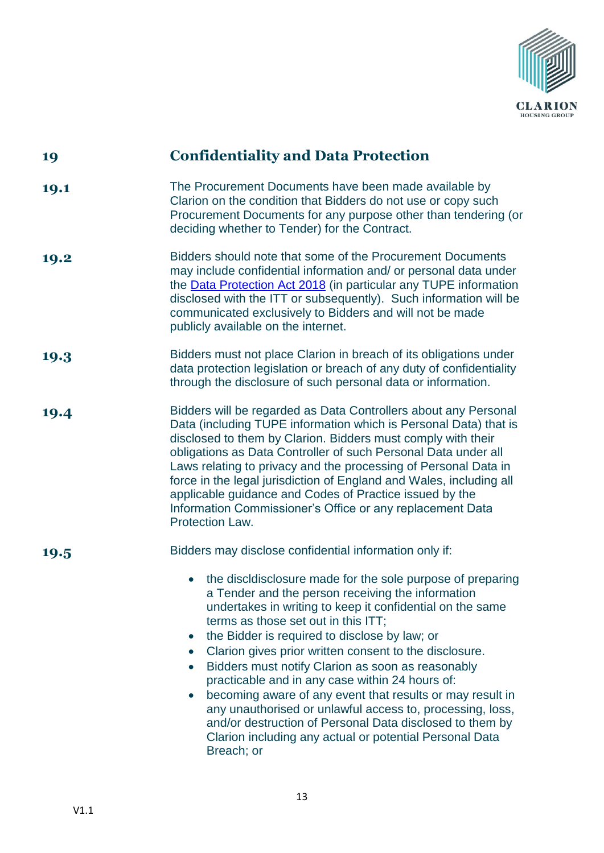

| 19   | <b>Confidentiality and Data Protection</b>                                                                                                                                                                                                                                                                                                                                                                                                                                                                                                                                                                                                                                                                                                                |
|------|-----------------------------------------------------------------------------------------------------------------------------------------------------------------------------------------------------------------------------------------------------------------------------------------------------------------------------------------------------------------------------------------------------------------------------------------------------------------------------------------------------------------------------------------------------------------------------------------------------------------------------------------------------------------------------------------------------------------------------------------------------------|
| 19.1 | The Procurement Documents have been made available by<br>Clarion on the condition that Bidders do not use or copy such<br>Procurement Documents for any purpose other than tendering (or<br>deciding whether to Tender) for the Contract.                                                                                                                                                                                                                                                                                                                                                                                                                                                                                                                 |
| 19.2 | Bidders should note that some of the Procurement Documents<br>may include confidential information and/ or personal data under<br>the <b>Data Protection Act 2018</b> (in particular any TUPE information<br>disclosed with the ITT or subsequently). Such information will be<br>communicated exclusively to Bidders and will not be made<br>publicly available on the internet.                                                                                                                                                                                                                                                                                                                                                                         |
| 19.3 | Bidders must not place Clarion in breach of its obligations under<br>data protection legislation or breach of any duty of confidentiality<br>through the disclosure of such personal data or information.                                                                                                                                                                                                                                                                                                                                                                                                                                                                                                                                                 |
| 19.4 | Bidders will be regarded as Data Controllers about any Personal<br>Data (including TUPE information which is Personal Data) that is<br>disclosed to them by Clarion. Bidders must comply with their<br>obligations as Data Controller of such Personal Data under all<br>Laws relating to privacy and the processing of Personal Data in<br>force in the legal jurisdiction of England and Wales, including all<br>applicable guidance and Codes of Practice issued by the<br>Information Commissioner's Office or any replacement Data<br>Protection Law.                                                                                                                                                                                                |
| 19.5 | Bidders may disclose confidential information only if:                                                                                                                                                                                                                                                                                                                                                                                                                                                                                                                                                                                                                                                                                                    |
|      | the discldisclosure made for the sole purpose of preparing<br>a Tender and the person receiving the information<br>undertakes in writing to keep it confidential on the same<br>terms as those set out in this ITT;<br>the Bidder is required to disclose by law; or<br>$\bullet$<br>Clarion gives prior written consent to the disclosure.<br>$\bullet$<br>Bidders must notify Clarion as soon as reasonably<br>$\bullet$<br>practicable and in any case within 24 hours of:<br>becoming aware of any event that results or may result in<br>$\bullet$<br>any unauthorised or unlawful access to, processing, loss,<br>and/or destruction of Personal Data disclosed to them by<br>Clarion including any actual or potential Personal Data<br>Breach; or |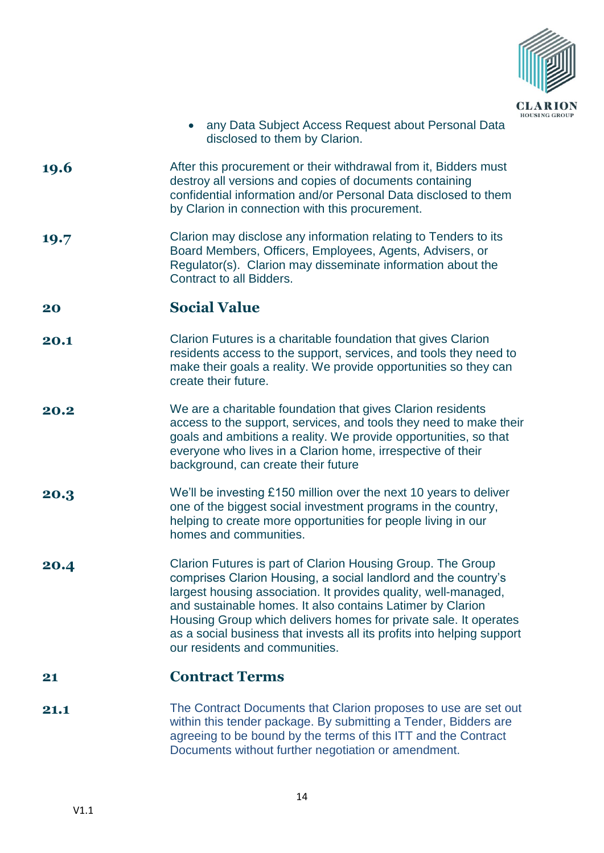

- any Data Subject Access Request about Personal Data disclosed to them by Clarion.
- **19.6** After this procurement or their withdrawal from it, Bidders must destroy all versions and copies of documents containing confidential information and/or Personal Data disclosed to them by Clarion in connection with this procurement.
- **19.7** Clarion may disclose any information relating to Tenders to its Board Members, Officers, Employees, Agents, Advisers, or Regulator(s). Clarion may disseminate information about the Contract to all Bidders.

#### **20 Social Value**

- **20.1** Clarion Futures is a charitable foundation that gives Clarion residents access to the support, services, and tools they need to make their goals a reality. We provide opportunities so they can create their future.
- **20.2** We are a charitable foundation that gives Clarion residents access to the support, services, and tools they need to make their goals and ambitions a reality. We provide opportunities, so that everyone who lives in a Clarion home, irrespective of their background, can create their future
- **20.3** We'll be investing £150 million over the next 10 years to deliver one of the biggest social investment programs in the country, helping to create more opportunities for people living in our homes and communities.
- **20.4** Clarion Futures is part of Clarion Housing Group. The Group comprises Clarion Housing, a social landlord and the country's largest housing association. It provides quality, well-managed, and sustainable homes. It also contains Latimer by Clarion Housing Group which delivers homes for private sale. It operates as a social business that invests all its profits into helping support our residents and communities.

#### **21 Contract Terms**

**21.1** The Contract Documents that Clarion proposes to use are set out within this tender package. By submitting a Tender, Bidders are agreeing to be bound by the terms of this ITT and the Contract Documents without further negotiation or amendment.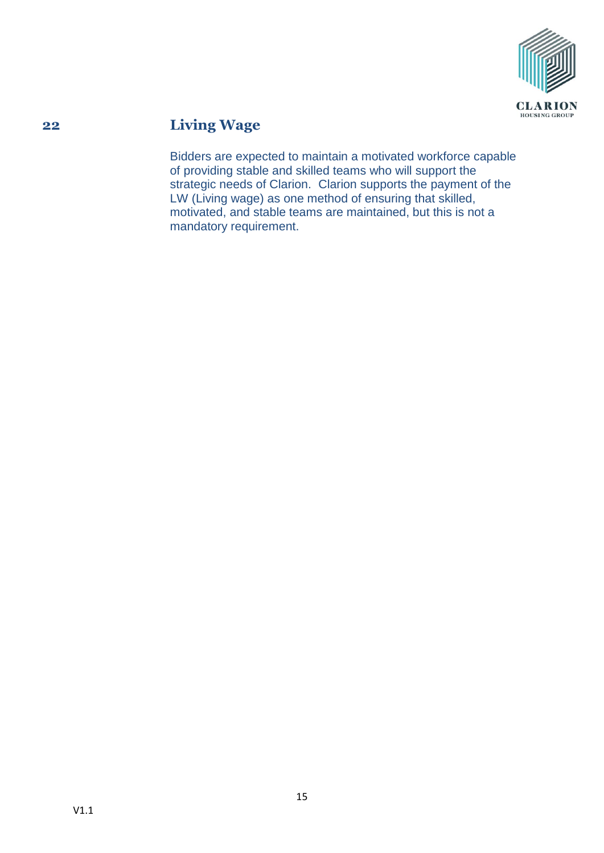

# **22 Living Wage**

Bidders are expected to maintain a motivated workforce capable of providing stable and skilled teams who will support the strategic needs of Clarion. Clarion supports the payment of the LW (Living wage) as one method of ensuring that skilled, motivated, and stable teams are maintained, but this is not a mandatory requirement.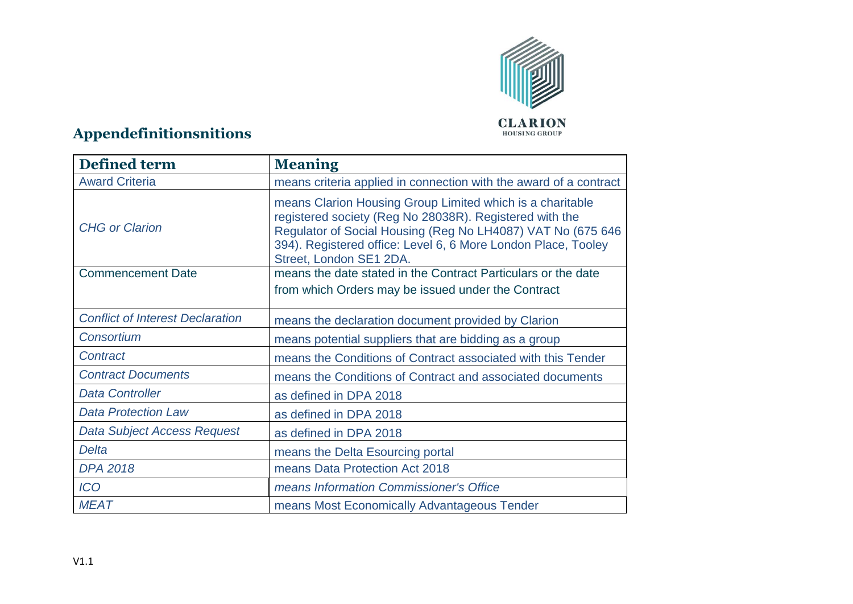

# **Appendefinitionsnitions**

| <b>Defined term</b>                     | <b>Meaning</b>                                                                                                                                                                                                                                                                  |
|-----------------------------------------|---------------------------------------------------------------------------------------------------------------------------------------------------------------------------------------------------------------------------------------------------------------------------------|
| <b>Award Criteria</b>                   | means criteria applied in connection with the award of a contract                                                                                                                                                                                                               |
| <b>CHG or Clarion</b>                   | means Clarion Housing Group Limited which is a charitable<br>registered society (Reg No 28038R). Registered with the<br>Regulator of Social Housing (Reg No LH4087) VAT No (675 646<br>394). Registered office: Level 6, 6 More London Place, Tooley<br>Street, London SE1 2DA. |
| <b>Commencement Date</b>                | means the date stated in the Contract Particulars or the date                                                                                                                                                                                                                   |
|                                         | from which Orders may be issued under the Contract                                                                                                                                                                                                                              |
| <b>Conflict of Interest Declaration</b> | means the declaration document provided by Clarion                                                                                                                                                                                                                              |
| Consortium                              | means potential suppliers that are bidding as a group                                                                                                                                                                                                                           |
| Contract                                | means the Conditions of Contract associated with this Tender                                                                                                                                                                                                                    |
| <b>Contract Documents</b>               | means the Conditions of Contract and associated documents                                                                                                                                                                                                                       |
| <b>Data Controller</b>                  | as defined in DPA 2018                                                                                                                                                                                                                                                          |
| <b>Data Protection Law</b>              | as defined in DPA 2018                                                                                                                                                                                                                                                          |
| Data Subject Access Request             | as defined in DPA 2018                                                                                                                                                                                                                                                          |
| Delta                                   | means the Delta Esourcing portal                                                                                                                                                                                                                                                |
| <b>DPA 2018</b>                         | means Data Protection Act 2018                                                                                                                                                                                                                                                  |
| <b>ICO</b>                              | means Information Commissioner's Office                                                                                                                                                                                                                                         |
| <b>MEAT</b>                             | means Most Economically Advantageous Tender                                                                                                                                                                                                                                     |